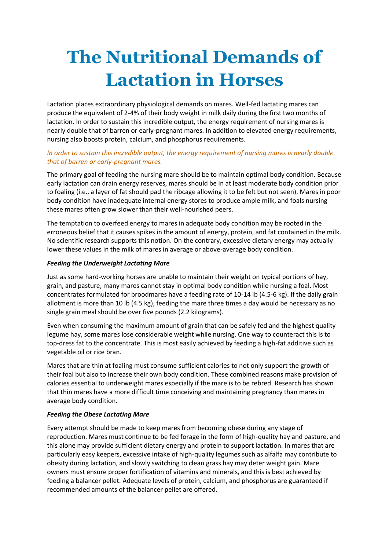# **The Nutritional Demands of Lactation in Horses**

Lactation places extraordinary physiological demands on mares. Well-fed lactating mares can produce the equivalent of 2-4% of their body weight in milk daily during the first two months of lactation. In order to sustain this incredible output, the energy requirement of nursing mares is nearly double that of barren or early-pregnant mares. In addition to elevated energy requirements, nursing also boosts protein, calcium, and phosphorus requirements.

## *In order to sustain this incredible output, the energy requirement of nursing mares is nearly double that of barren or early-pregnant mares.*

The primary goal of feeding the nursing mare should be to maintain optimal body condition. Because early lactation can drain energy reserves, mares should be in at least moderate body condition prior to foaling (i.e., a layer of fat should pad the ribcage allowing it to be felt but not seen). Mares in poor body condition have inadequate internal energy stores to produce ample milk, and foals nursing these mares often grow slower than their well-nourished peers.

The temptation to overfeed energy to mares in adequate body condition may be rooted in the erroneous belief that it causes spikes in the amount of energy, protein, and fat contained in the milk. No scientific research supports this notion. On the contrary, excessive dietary energy may actually lower these values in the milk of mares in average or above-average body condition.

## *Feeding the Underweight Lactating Mare*

Just as some hard-working horses are unable to maintain their weight on typical portions of hay, grain, and pasture, many mares cannot stay in optimal body condition while nursing a foal. Most concentrates formulated for broodmares have a feeding rate of 10-14 lb (4.5-6 kg). If the daily grain allotment is more than 10 lb (4.5 kg), feeding the mare three times a day would be necessary as no single grain meal should be over five pounds (2.2 kilograms).

Even when consuming the maximum amount of grain that can be safely fed and the highest quality legume hay, some mares lose considerable weight while nursing. One way to counteract this is to top-dress fat to the concentrate. This is most easily achieved by feeding a high-fat additive such as vegetable oil or rice bran.

Mares that are thin at foaling must consume sufficient calories to not only support the growth of their foal but also to increase their own body condition. These combined reasons make provision of calories essential to underweight mares especially if the mare is to be rebred. Research has shown that thin mares have a more difficult time conceiving and maintaining pregnancy than mares in average body condition.

## *Feeding the Obese Lactating Mare*

Every attempt should be made to keep mares from becoming obese during any stage of reproduction. Mares must continue to be fed forage in the form of high-quality hay and pasture, and this alone may provide sufficient dietary energy and protein to support lactation. In mares that are particularly easy keepers, excessive intake of high-quality legumes such as alfalfa may contribute to obesity during lactation, and slowly switching to clean grass hay may deter weight gain. Mare owners must ensure proper fortification of vitamins and minerals, and this is best achieved by feeding a balancer pellet. Adequate levels of protein, calcium, and phosphorus are guaranteed if recommended amounts of the balancer pellet are offered.